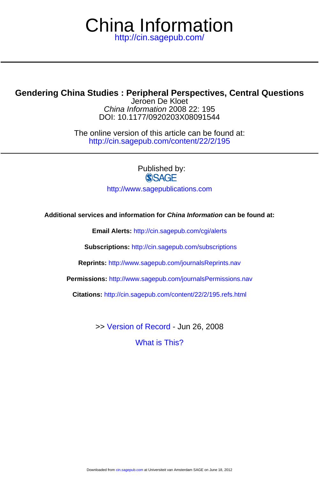# <http://cin.sagepub.com/> China Information

# **Gendering China Studies : Peripheral Perspectives, Central Questions**

DOI: 10.1177/0920203X08091544 China Information 2008 22: 195 Jeroen De Kloet

<http://cin.sagepub.com/content/22/2/195> The online version of this article can be found at:

> Published by:<br>
> SAGE <http://www.sagepublications.com>

**Additional services and information for China Information can be found at:**

**Email Alerts:** <http://cin.sagepub.com/cgi/alerts>

**Subscriptions:** <http://cin.sagepub.com/subscriptions>

**Reprints:** <http://www.sagepub.com/journalsReprints.nav>

**Permissions:** <http://www.sagepub.com/journalsPermissions.nav>

**Citations:** <http://cin.sagepub.com/content/22/2/195.refs.html>

>> [Version of Record -](http://cin.sagepub.com/content/22/2/195.full.pdf) Jun 26, 2008

[What is This?](http://online.sagepub.com/site/sphelp/vorhelp.xhtml)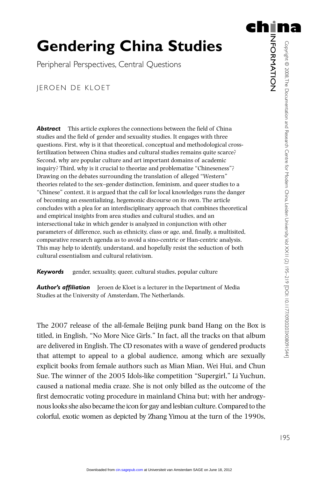# **Gendering China Studies**

Peripheral Perspectives, Central Questions

JEROEN DE KLOET

*Abstract* This article explores the connections between the field of China studies and the field of gender and sexuality studies. It engages with three questions. First, why is it that theoretical, conceptual and methodological crossfertilization between China studies and cultural studies remains quite scarce? Second, why are popular culture and art important domains of academic inquiry? Third, why is it crucial to theorize and problematize "Chineseness"? Drawing on the debates surrounding the translation of alleged "Western" theories related to the sex–gender distinction, feminism, and queer studies to a "Chinese" context, it is argued that the call for local knowledges runs the danger of becoming an essentializing, hegemonic discourse on its own. The article concludes with a plea for an interdisciplinary approach that combines theoretical and empirical insights from area studies and cultural studies, and an intersectional take in which gender is analyzed in conjunction with other parameters of difference, such as ethnicity, class or age, and, finally, a multisited, comparative research agenda as to avoid a sino-centric or Han-centric analysis. This may help to identify, understand, and hopefully resist the seduction of both cultural essentialism and cultural relativism.

Keywords gender, sexuality, queer, cultural studies, popular culture

**Author's affiliation** Jeroen de Kloet is a lecturer in the Department of Media Studies at the University of Amsterdam, The Netherlands.

The 2007 release of the all-female Beijing punk band Hang on the Box is titled, in English, "No More Nice Girls." In fact, all the tracks on that album are delivered in English. The CD resonates with a wave of gendered products that attempt to appeal to a global audience, among which are sexually explicit books from female authors such as Mian Mian, Wei Hui, and Chun Sue. The winner of the 2005 Idols-like competition "Supergirl," Li Yuchun, caused a national media craze. She is not only billed as the outcome of the first democratic voting procedure in mainland China but; with her androgynous looks she also became the icon for gay and lesbian culture. Compared to the colorful, exotic women as depicted by Zhang Yimou at the turn of the 1990s,

**chi**INFORMATION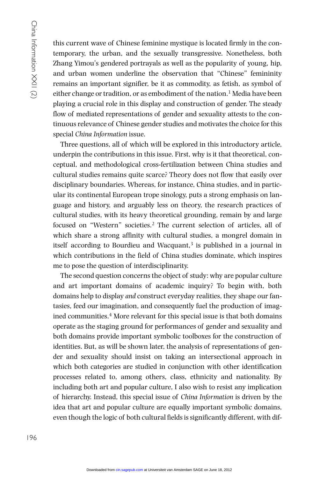China Information XXII (2) China Information XXI1 (2)

this current wave of Chinese feminine mystique is located firmly in the contemporary, the urban, and the sexually transgressive. Nonetheless, both Zhang Yimou's gendered portrayals as well as the popularity of young, hip, and urban women underline the observation that "Chinese" femininity remains an important signifier, be it as commodity, as fetish, as symbol of either change or tradition, or as embodiment of the nation.<sup>1</sup> Media have been playing a crucial role in this display and construction of gender. The steady flow of mediated representations of gender and sexuality attests to the continuous relevance of Chinese gender studies and motivates the choice for this special *China Information* issue.

Three questions, all of which will be explored in this introductory article, underpin the contributions in this issue. First, why is it that theoretical, conceptual, and methodological cross-fertilization between China studies and cultural studies remains quite scarce? Theory does not flow that easily over disciplinary boundaries. Whereas, for instance, China studies, and in particular its continental European trope sinology, puts a strong emphasis on language and history, and arguably less on theory, the research practices of cultural studies, with its heavy theoretical grounding, remain by and large focused on "Western" societies.2 The current selection of articles, all of which share a strong affinity with cultural studies, a mongrel domain in itself according to Bourdieu and Wacquant, $3$  is published in a journal in which contributions in the field of China studies dominate, which inspires me to pose the question of interdisciplinarity.

The second question concerns the object of study: why are popular culture and art important domains of academic inquiry? To begin with, both domains help to display *and* construct everyday realities, they shape our fantasies, feed our imagination, and consequently fuel the production of imagined communities.4 More relevant for this special issue is that both domains operate as the staging ground for performances of gender and sexuality and both domains provide important symbolic toolboxes for the construction of identities. But, as will be shown later, the analysis of representations of gender and sexuality should insist on taking an intersectional approach in which both categories are studied in conjunction with other identification processes related to, among others, class, ethnicity and nationality. By including both art and popular culture, I also wish to resist any implication of hierarchy. Instead, this special issue of *China Information* is driven by the idea that art and popular culture are equally important symbolic domains, even though the logic of both cultural fields is significantly different, with dif-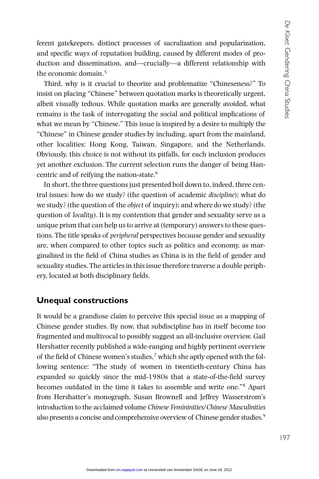ferent gatekeepers, distinct processes of sacralization and popularization, and specific ways of reputation building, caused by different modes of production and dissemination, and—crucially—a different relationship with the economic domain.<sup>5</sup>

Third, why is it crucial to theorize and problematize "Chineseness?" To insist on placing "Chinese" between quotation marks is theoretically urgent, albeit visually tedious. While quotation marks are generally avoided, what remains is the task of interrogating the social and political implications of what we mean by "Chinese." This issue is inspired by a desire to multiply the "Chinese" in Chinese gender studies by including, apart from the mainland, other localities: Hong Kong, Taiwan, Singapore, and the Netherlands. Obviously, this choice is not without its pitfalls, for each inclusion produces yet another exclusion. The current selection runs the danger of being Hancentric and of reifying the nation-state.6

In short, the three questions just presented boil down to, indeed, three central issues: how do we study? (the question of academic *discipline*); what do we study? (the question of the *object* of inquiry); and where do we study? (the question of *locality*). It is my contention that gender and sexuality serve as a unique prism that can help us to arrive at (temporary) answers to these questions. The title speaks of *peripheral* perspectives because gender and sexuality are, when compared to other topics such as politics and economy, as marginalized in the field of China studies as China is in the field of gender and sexuality studies. The articles in this issue therefore traverse a double periphery, located at both disciplinary fields.

#### **Unequal constructions**

It would be a grandiose claim to perceive this special issue as a mapping of Chinese gender studies. By now, that subdiscipline has in itself become too fragmented and multivocal to possibly suggest an all-inclusive overview. Gail Hershatter recently published a wide-ranging and highly pertinent overview of the field of Chinese women's studies,<sup>7</sup> which she aptly opened with the following sentence: "The study of women in twentieth-century China has expanded so quickly since the mid-1980s that a state-of-the-field survey becomes outdated in the time it takes to assemble and write one."8 Apart from Hershatter's monograph, Susan Brownell and Jeffrey Wasserstrom's introduction to the acclaimed volume *Chinese Femininities/Chinese Masculinities* also presents a concise and comprehensive overview of Chinese gender studies.<sup>9</sup>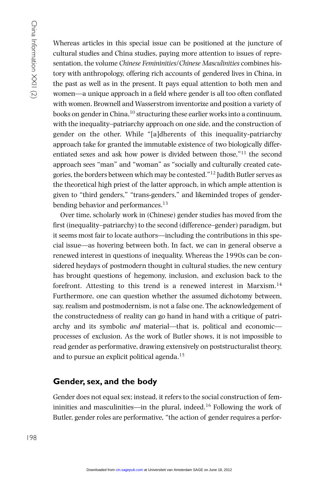China Information XXII (2) China Information XXI1 (2)

Whereas articles in this special issue can be positioned at the juncture of cultural studies and China studies, paying more attention to issues of representation, the volume *Chinese Femininities/Chinese Masculinities* combines history with anthropology, offering rich accounts of gendered lives in China, in the past as well as in the present. It pays equal attention to both men and women—a unique approach in a field where gender is all too often conflated with women. Brownell and Wasserstrom inventorize and position a variety of books on gender in China, <sup>10</sup> structuring these earlier works into a continuum, with the inequality–patriarchy approach on one side, and the construction of gender on the other. While "[a]dherents of this inequality-patriarchy approach take for granted the immutable existence of two biologically differentiated sexes and ask how power is divided between those,"11 the second approach sees "man" and "woman" as "socially and culturally created categories, the borders between which may be contested."12 Judith Butler serves as the theoretical high priest of the latter approach, in which ample attention is given to "third genders," "trans-genders," and likeminded tropes of genderbending behavior and performances.<sup>13</sup>

Over time, scholarly work in (Chinese) gender studies has moved from the first (inequality–patriarchy) to the second (difference–gender) paradigm, but it seems most fair to locate authors—including the contributions in this special issue—as hovering between both. In fact, we can in general observe a renewed interest in questions of inequality. Whereas the 1990s can be considered heydays of postmodern thought in cultural studies, the new century has brought questions of hegemony, inclusion, and exclusion back to the forefront. Attesting to this trend is a renewed interest in Marxism.<sup>14</sup> Furthermore, one can question whether the assumed dichotomy between, say, realism and postmodernism, is not a false one. The acknowledgement of the constructedness of reality can go hand in hand with a critique of patriarchy and its symbolic *and* material—that is, political and economic processes of exclusion. As the work of Butler shows, it is not impossible to read gender as performative, drawing extensively on poststructuralist theory, and to pursue an explicit political agenda.15

### **Gender, sex, and the body**

Gender does not equal sex; instead, it refers to the social construction of femininities and masculinities—in the plural, indeed.16 Following the work of Butler, gender roles are performative, "the action of gender requires a perfor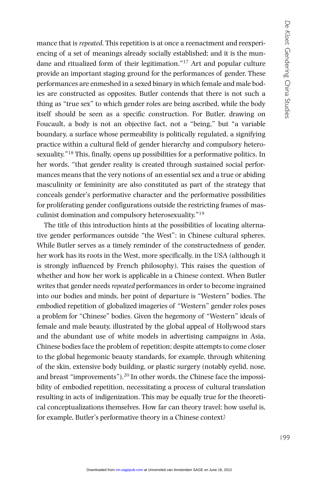mance that is *repeated*. This repetition is at once a reenactment and reexperiencing of a set of meanings already socially established; and it is the mundane and ritualized form of their legitimation."17 Art and popular culture provide an important staging ground for the performances of gender. These performances are enmeshed in a sexed binary in which female and male bodies are constructed as opposites. Butler contends that there is not such a thing as "true sex" to which gender roles are being ascribed, while the body itself should be seen as a specific construction. For Butler, drawing on Foucault, a body is not an objective fact, not a "being," but "a variable boundary, a surface whose permeability is politically regulated, a signifying practice within a cultural field of gender hierarchy and compulsory heterosexuality."18 This, finally, opens up possibilities for a performative politics. In her words, "that gender reality is created through sustained social performances means that the very notions of an essential sex and a true or abiding masculinity or femininity are also constituted as part of the strategy that conceals gender's performative character and the performative possibilities for proliferating gender configurations outside the restricting frames of masculinist domination and compulsory heterosexuality."19

The title of this introduction hints at the possibilities of locating alternative gender performances outside "the West": in Chinese cultural spheres. While Butler serves as a timely reminder of the constructedness of gender, her work has its roots in the West, more specifically, in the USA (although it is strongly influenced by French philosophy). This raises the question of whether and how her work is applicable in a Chinese context. When Butler writes that gender needs *repeated* performances in order to become ingrained into our bodies and minds, her point of departure is "Western" bodies. The embodied repetition of globalized imageries of "Western" gender roles poses a problem for "Chinese" bodies. Given the hegemony of "Western" ideals of female and male beauty, illustrated by the global appeal of Hollywood stars and the abundant use of white models in advertising campaigns in Asia, Chinese bodies face the problem of repetition; despite attempts to come closer to the global hegemonic beauty standards, for example, through whitening of the skin, extensive body building, or plastic surgery (notably eyelid, nose, and breast "improvements").20 In other words, the Chinese face the impossibility of embodied repetition, necessitating a process of cultural translation resulting in acts of indigenization. This may be equally true for the theoretical conceptualizations themselves. How far can theory travel; how useful is, for example, Butler's performative theory in a Chinese context?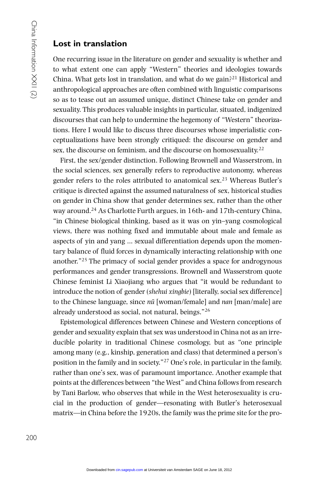#### **Lost in translation**

One recurring issue in the literature on gender and sexuality is whether and to what extent one can apply "Western" theories and ideologies towards China. What gets lost in translation, and what do we gain?<sup>21</sup> Historical and anthropological approaches are often combined with linguistic comparisons so as to tease out an assumed unique, distinct Chinese take on gender and sexuality. This produces valuable insights in particular, situated, indigenized discourses that can help to undermine the hegemony of "Western" theorizations. Here I would like to discuss three discourses whose imperialistic conceptualizations have been strongly critiqued: the discourse on gender and sex, the discourse on feminism, and the discourse on homosexuality.<sup>22</sup>

First, the sex/gender distinction. Following Brownell and Wasserstrom, in the social sciences, sex generally refers to reproductive autonomy, whereas gender refers to the roles attributed to anatomical sex.23 Whereas Butler's critique is directed against the assumed naturalness of sex, historical studies on gender in China show that gender determines sex, rather than the other way around.<sup>24</sup> As Charlotte Furth argues, in 16th- and 17th-century China, "in Chinese biological thinking, based as it was on yin–yang cosmological views, there was nothing fixed and immutable about male and female as aspects of yin and yang ... sexual differentiation depends upon the momentary balance of fluid forces in dynamically interacting relationship with one another."25 The primacy of social gender provides a space for androgynous performances and gender transgressions. Brownell and Wasserstrom quote Chinese feminist Li Xiaojiang who argues that "it would be redundant to introduce the notion of gender (*shehui xingbie*) [literally, social sex difference] to the Chinese language, since *nü* [woman/female] and *nan* [man/male] are already understood as social, not natural, beings."26

Epistemological differences between Chinese and Western conceptions of gender and sexuality explain that sex was understood in China not as an irreducible polarity in traditional Chinese cosmology, but as "one principle among many (e.g., kinship, generation and class) that determined a person's position in the family and in society."27 One's role, in particular in the family, rather than one's sex, was of paramount importance. Another example that points at the differences between "the West" and China follows from research by Tani Barlow, who observes that while in the West heterosexuality is crucial in the production of gender—resonating with Butler's heterosexual matrix—in China before the 1920s, the family was the prime site for the pro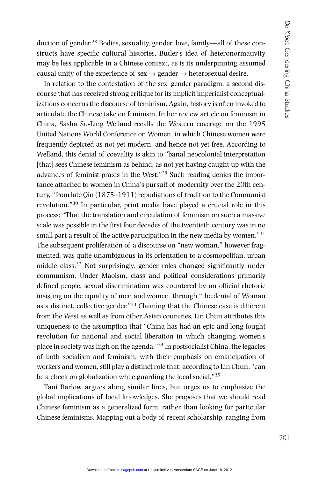duction of gender.28 Bodies, sexuality, gender, love, family—all of these constructs have specific cultural histories, Butler's idea of heteronormativity may be less applicable in a Chinese context, as is its underpinning assumed causal unity of the experience of sex  $\rightarrow$  gender  $\rightarrow$  heterosexual desire.

In relation to the contestation of the sex–gender paradigm, a second discourse that has received strong critique for its implicit imperialist conceptualizations concerns the discourse of feminism. Again, history is often invoked to articulate the Chinese take on feminism. In her review article on feminism in China, Sasha Su-Ling Welland recalls the Western coverage on the 1995 United Nations World Conference on Women, in which Chinese women were frequently depicted as not yet modern, and hence not yet free. According to Welland, this denial of coevality is akin to "banal neocolonial interpretation [that] sees Chinese feminism as behind, as not yet having caught up with the advances of feminist praxis in the West."29 Such reading denies the importance attached to women in China's pursuit of modernity over the 20th century, "from late Qin (1875–1911) repudiations of tradition to the Communist revolution."30 In particular, print media have played a crucial role in this process: "That the translation and circulation of feminism on such a massive scale was possible in the first four decades of the twentieth century was in no small part a result of the active participation in the new media by women."<sup>31</sup> The subsequent proliferation of a discourse on "new woman," however fragmented, was quite unambiguous in its orientation to a cosmopolitan, urban middle class.<sup>32</sup> Not surprisingly, gender roles changed significantly under communism. Under Maoism, class and political considerations primarily defined people, sexual discrimination was countered by an official rhetoric insisting on the equality of men and women, through "the denial of Woman as a distinct, collective gender."33 Claiming that the Chinese case is different from the West as well as from other Asian countries, Lin Chun attributes this uniqueness to the assumption that "China has had an epic and long-fought revolution for national and social liberation in which changing women's place in society was high on the agenda."34 In postsocialist China, the legacies of both socialism and feminism, with their emphasis on emancipation of workers and women, still play a distinct role that, according to Lin Chun, "can be a check on globalization while guarding the local social."35

Tani Barlow argues along similar lines, but urges us to emphasize the global implications of local knowledges. She proposes that we should read Chinese feminism as a generalized form, rather than looking for particular Chinese feminisms. Mapping out a body of recent scholarship, ranging from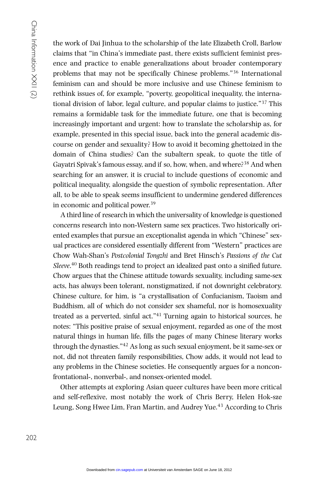China Information XXII (2) China Information XXI1 (2)

the work of Dai Jinhua to the scholarship of the late Elizabeth Croll, Barlow claims that "in China's immediate past, there exists sufficient feminist presence and practice to enable generalizations about broader contemporary problems that may not be specifically Chinese problems."36 International feminism can and should be more inclusive and use Chinese feminism to rethink issues of, for example, "poverty, geopolitical inequality, the international division of labor, legal culture, and popular claims to justice."37 This remains a formidable task for the immediate future, one that is becoming increasingly important and urgent: how to translate the scholarship as, for example, presented in this special issue, back into the general academic discourse on gender and sexuality? How to avoid it becoming ghettoized in the domain of China studies? Can the subaltern speak, to quote the title of Gayatri Spivak's famous essay, and if so, how, when, and where?<sup>38</sup> And when searching for an answer, it is crucial to include questions of economic and political inequality, alongside the question of symbolic representation. After all, to be able to speak seems insufficient to undermine gendered differences in economic and political power.<sup>39</sup>

A third line of research in which the universality of knowledge is questioned concerns research into non-Western same sex practices. Two historically oriented examples that pursue an exceptionalist agenda in which "Chinese" sexual practices are considered essentially different from "Western" practices are Chow Wah-Shan's *Postcolonial Tongzhi* and Bret Hinsch's *Passions of the Cut Sleeve*. <sup>40</sup> Both readings tend to project an idealized past onto a sinified future. Chow argues that the Chinese attitude towards sexuality, including same-sex acts, has always been tolerant, nonstigmatized, if not downright celebratory. Chinese culture, for him, is "a crystallisation of Confucianism, Taoism and Buddhism, all of which do not consider sex shameful, nor is homosexuality treated as a perverted, sinful act."41 Turning again to historical sources, he notes: "This positive praise of sexual enjoyment, regarded as one of the most natural things in human life, fills the pages of many Chinese literary works through the dynasties."42 As long as such sexual enjoyment, be it same-sex or not, did not threaten family responsibilities, Chow adds, it would not lead to any problems in the Chinese societies. He consequently argues for a nonconfrontational-, nonverbal-, and nonsex-oriented model.

Other attempts at exploring Asian queer cultures have been more critical and self-reflexive, most notably the work of Chris Berry, Helen Hok-sze Leung, Song Hwee Lim, Fran Martin, and Audrey Yue.<sup>43</sup> According to Chris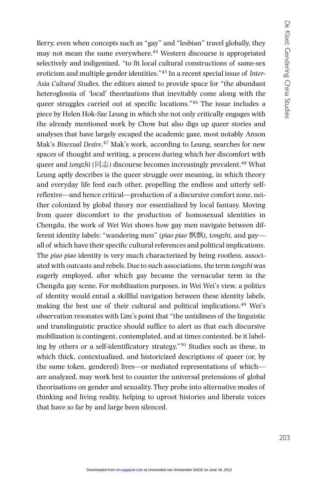Berry, even when concepts such as "gay" and "lesbian" travel globally, they may not mean the same everywhere.<sup>44</sup> Western discourse is appropriated selectively and indigenized, "to fit local cultural constructions of same-sex eroticism and multiple gender identities."45 In a recent special issue of *Inter-Asia Cultural Studies*, the editors aimed to provide space for "the abundant heteroglossia of 'local' theorizations that inevitably come along with the queer struggles carried out at specific locations."46 The issue includes a piece by Helen Hok-Sze Leung in which she not only critically engages with the already mentioned work by Chow but also digs up queer stories and analyses that have largely escaped the academic gaze, most notably Anson Mak's *Bisexual Desire*. <sup>47</sup> Mak's work, according to Leung, searches for new spaces of thought and writing, a process during which her discomfort with queer and *tongzhi* (同志) discourse becomes increasingly prevalent.<sup>48</sup> What Leung aptly describes is the queer struggle over meaning, in which theory and everyday life feed each other, propelling the endless and utterly selfreflexive—and hence critical—production of a discursive comfort zone, neither colonized by global theory nor essentialized by local fantasy. Moving from queer discomfort to the production of homosexual identities in Chengdu, the work of Wei Wei shows how gay men navigate between different identity labels: "wandering men" (*piao piao* 飘飘), *tongzhi*, and gay all of which have their specific cultural references and political implications. The *piao piao* identity is very much characterized by being rootless, associated with outcasts and rebels. Due to such associations, the term *tongzhi* was eagerly employed, after which gay became the vernacular term in the Chengdu gay scene. For mobilization purposes, in Wei Wei's view, a politics of identity would entail a skillful navigation between these identity labels, making the best use of their cultural and political implications.<sup>49</sup> Wei's observation resonates with Lim's point that "the untidiness of the linguistic and translinguistic practice should suffice to alert us that each discursive mobilization is contingent, contemplated, and at times contested, be it labeling by others or a self-identificatory strategy."50 Studies such as these, in which thick, contextualized, and historicized descriptions of queer (or, by the same token, gendered) lives—or mediated representations of which are analyzed, may work best to counter the universal pretensions of global theorizations on gender and sexuality. They probe into alternative modes of thinking and living reality, helping to uproot histories and liberate voices that have so far by and large been silenced.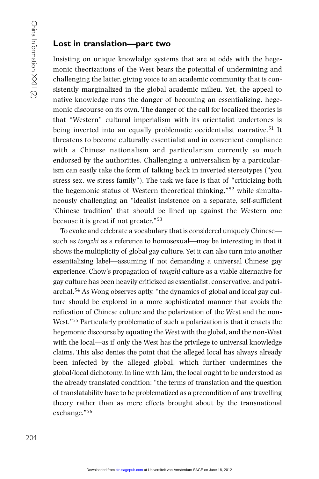#### **Lost in translation—part two**

Insisting on unique knowledge systems that are at odds with the hegemonic theorizations of the West bears the potential of undermining and challenging the latter, giving voice to an academic community that is consistently marginalized in the global academic milieu. Yet, the appeal to native knowledge runs the danger of becoming an essentializing, hegemonic discourse on its own. The danger of the call for localized theories is that "Western" cultural imperialism with its orientalist undertones is being inverted into an equally problematic occidentalist narrative.<sup>51</sup> It threatens to become culturally essentialist and in convenient compliance with a Chinese nationalism and particularism currently so much endorsed by the authorities. Challenging a universalism by a particularism can easily take the form of talking back in inverted stereotypes ("you stress sex, we stress family"). The task we face is that of "criticizing both the hegemonic status of Western theoretical thinking,"52 while simultaneously challenging an "idealist insistence on a separate, self-sufficient 'Chinese tradition' that should be lined up against the Western one because it is great if not greater."53

To evoke and celebrate a vocabulary that is considered uniquely Chinese such as *tongzhi* as a reference to homosexual—may be interesting in that it shows the multiplicity of global gay culture. Yet it can also turn into another essentializing label—assuming if not demanding a universal Chinese gay experience. Chow's propagation of *tongzhi* culture as a viable alternative for gay culture has been heavily criticized as essentialist, conservative, and patriarchal.54 As Wong observes aptly, "the dynamics of global and local gay culture should be explored in a more sophisticated manner that avoids the reification of Chinese culture and the polarization of the West and the non-West."55 Particularly problematic of such a polarization is that it enacts the hegemonic discourse by equating the West with the global, and the non-West with the local—as if only the West has the privilege to universal knowledge claims. This also denies the point that the alleged local has always already been infected by the alleged global, which further undermines the global/local dichotomy. In line with Lim, the local ought to be understood as the already translated condition: "the terms of translation and the question of translatability have to be problematized as a precondition of any travelling theory rather than as mere effects brought about by the transnational exchange."56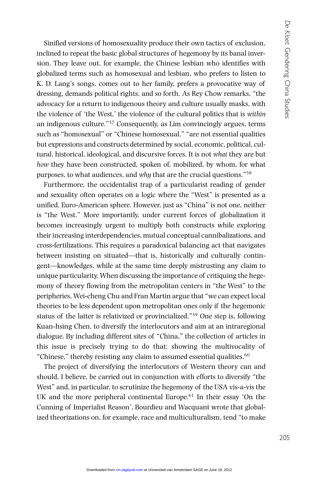Sinified versions of homosexuality produce their own tactics of exclusion, inclined to repeat the basic global structures of hegemony by its banal inversion. They leave out, for example, the Chinese lesbian who identifies with globalized terms such as homosexual and lesbian, who prefers to listen to K. D. Lang's songs, comes out to her family, prefers a provocative way of dressing, demands political rights, and so forth. As Rey Chow remarks, "the advocacy for a return to indigenous theory and culture usually masks, with the violence of 'the West,' the violence of the cultural politics that is *within* an indigenous culture."57 Consequently, as Lim convincingly argues, terms such as "homosexual" or "Chinese homosexual," "are not essential qualities but expressions and constructs determined by social, economic, political, cultural, historical, ideological, and discursive forces. It is not *what* they are but *how* they have been constructed, spoken of, mobilized, by whom, for what purposes, to what audiences, and *why* that are the crucial questions."58

Furthermore, the occidentalist trap of a particularist reading of gender and sexuality often operates on a logic where the "West" is presented as a unified, Euro-American sphere. However, just as "China" is not one, neither is "the West." More importantly, under current forces of globalization it becomes increasingly urgent to multiply both constructs while exploring their increasing interdependencies, mutual conceptual cannibalizations, and cross-fertilizations. This requires a paradoxical balancing act that navigates between insisting on situated—that is, historically and culturally contingent—knowledges, while at the same time deeply mistrusting any claim to unique particularity. When discussing the importance of critiquing the hegemony of theory flowing from the metropolitan centers in "the West" to the peripheries, Wei-cheng Chu and Fran Martin argue that "we can expect local theories to be less dependent upon metropolitan ones only if the hegemonic status of the latter is relativized or provincialized."59 One step is, following Kuan-hsing Chen, to diversify the interlocutors and aim at an intraregional dialogue. By including different sites of "China," the collection of articles in this issue is precisely trying to do that: showing the multivocality of "Chinese," thereby resisting any claim to assumed essential qualities.<sup>60</sup>

The project of diversifying the interlocutors of Western theory can and should, I believe, be carried out in conjunction with efforts to diversify "the West" and, in particular, to scrutinize the hegemony of the USA vis-a-vis the UK and the more peripheral continental Europe.<sup>61</sup> In their essay 'On the Cunning of Imperialist Reason', Bourdieu and Wacquant wrote that globalized theorizations on, for example, race and multiculturalism, tend "to make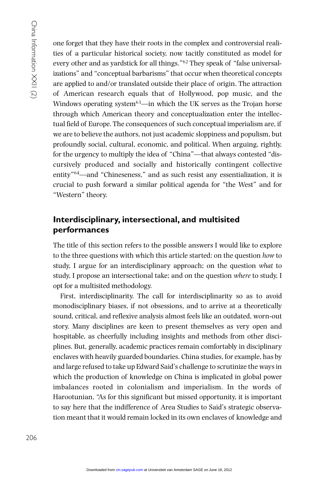one forget that they have their roots in the complex and controversial realities of a particular historical society, now tacitly constituted as model for every other and as yardstick for all things."62 They speak of "false universalizations" and "conceptual barbarisms" that occur when theoretical concepts are applied to and/or translated outside their place of origin. The attraction of American research equals that of Hollywood, pop music, and the Windows operating system $63$ —in which the UK serves as the Trojan horse through which American theory and conceptualization enter the intellectual field of Europe. The consequences of such conceptual imperialism are, if we are to believe the authors, not just academic sloppiness and populism, but profoundly social, cultural, economic, and political. When arguing, rightly, for the urgency to multiply the idea of "China"—that always contested "discursively produced and socially and historically contingent collective entity"64—and "Chineseness," and as such resist any essentialization, it is crucial to push forward a similar political agenda for "the West" and for "Western" theory.

## **Interdisciplinary, intersectional, and multisited performances**

The title of this section refers to the possible answers I would like to explore to the three questions with which this article started: on the question *how* to study, I argue for an interdisciplinary approach; on the question *what* to study, I propose an intersectional take; and on the question *where* to study, I opt for a multisited methodology.

First, interdisciplinarity. The call for interdisciplinarity so as to avoid monodisciplinary biases, if not obsessions, and to arrive at a theoretically sound, critical, and reflexive analysis almost feels like an outdated, worn-out story. Many disciplines are keen to present themselves as very open and hospitable, as cheerfully including insights and methods from other disciplines. But, generally, academic practices remain comfortably in disciplinary enclaves with heavily guarded boundaries. China studies, for example, has by and large refused to take up Edward Said's challenge to scrutinize the ways in which the production of knowledge on China is implicated in global power imbalances rooted in colonialism and imperialism. In the words of Harootunian, "As for this significant but missed opportunity, it is important to say here that the indifference of Area Studies to Said's strategic observation meant that it would remain locked in its own enclaves of knowledge and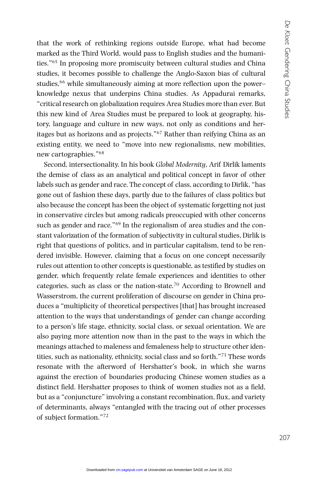that the work of rethinking regions outside Europe, what had become marked as the Third World, would pass to English studies and the humanities."65 In proposing more promiscuity between cultural studies and China studies, it becomes possible to challenge the Anglo-Saxon bias of cultural studies,<sup>66</sup> while simultaneously aiming at more reflection upon the power– knowledge nexus that underpins China studies. As Appadurai remarks, "critical research on globalization requires Area Studies more than ever. But this new kind of Area Studies must be prepared to look at geography, history, language and culture in new ways, not only as conditions and heritages but as horizons and as projects."67 Rather than reifying China as an existing entity, we need to "move into new regionalisms, new mobilities, new cartographies."68

Second, intersectionality. In his book *Global Modernity*, Arif Dirlik laments the demise of class as an analytical and political concept in favor of other labels such as gender and race. The concept of class, according to Dirlik, "has gone out of fashion these days, partly due to the failures of class politics but also because the concept has been the object of systematic forgetting not just in conservative circles but among radicals preoccupied with other concerns such as gender and race."69 In the regionalism of area studies and the constant valorization of the formation of subjectivity in cultural studies, Dirlik is right that questions of politics, and in particular capitalism, tend to be rendered invisible. However, claiming that a focus on one concept necessarily rules out attention to other concepts is questionable, as testified by studies on gender, which frequently relate female experiences and identities to other categories, such as class or the nation-state.70 According to Brownell and Wasserstrom, the current proliferation of discourse on gender in China produces a "multiplicity of theoretical perspectives [that] has brought increased attention to the ways that understandings of gender can change according to a person's life stage, ethnicity, social class, or sexual orientation. We are also paying more attention now than in the past to the ways in which the meanings attached to maleness and femaleness help to structure other identities, such as nationality, ethnicity, social class and so forth."71 These words resonate with the afterword of Hershatter's book, in which she warns against the erection of boundaries producing Chinese women studies as a distinct field. Hershatter proposes to think of women studies not as a field, but as a "conjuncture" involving a constant recombination, flux, and variety of determinants, always "entangled with the tracing out of other processes of subject formation."72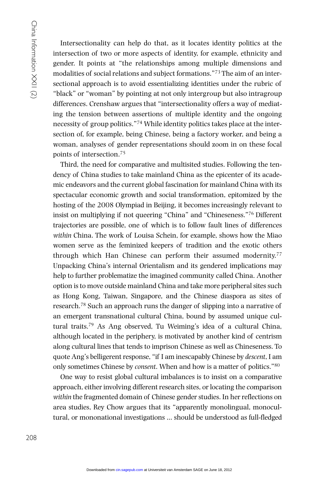Intersectionality can help do that, as it locates identity politics at the intersection of two or more aspects of identity, for example, ethnicity and gender. It points at "the relationships among multiple dimensions and modalities of social relations and subject formations."73 The aim of an intersectional approach is to avoid essentializing identities under the rubric of "black" or "woman" by pointing at not only intergroup but also intragroup differences. Crenshaw argues that "intersectionality offers a way of mediating the tension between assertions of multiple identity and the ongoing necessity of group politics."74 While identity politics takes place at the intersection of, for example, being Chinese, being a factory worker, and being a woman, analyses of gender representations should zoom in on these focal points of intersection.75

Third, the need for comparative and multisited studies. Following the tendency of China studies to take mainland China as the epicenter of its academic endeavors and the current global fascination for mainland China with its spectacular economic growth and social transformation, epitomized by the hosting of the 2008 Olympiad in Beijing, it becomes increasingly relevant to insist on multiplying if not queering "China" and "Chineseness."76 Different trajectories are possible, one of which is to follow fault lines of differences *within* China. The work of Louisa Schein, for example, shows how the Miao women serve as the feminized keepers of tradition and the exotic others through which Han Chinese can perform their assumed modernity.<sup>77</sup> Unpacking China's internal Orientalism and its gendered implications may help to further problematize the imagined community called China. Another option is to move outside mainland China and take more peripheral sites such as Hong Kong, Taiwan, Singapore, and the Chinese diaspora as sites of research.78 Such an approach runs the danger of slipping into a narrative of an emergent transnational cultural China, bound by assumed unique cultural traits.79 As Ang observed, Tu Weiming's idea of a cultural China, although located in the periphery, is motivated by another kind of centrism along cultural lines that tends to imprison Chinese as well as Chineseness. To quote Ang's belligerent response, "if I am inescapably Chinese by *descent*, I am only sometimes Chinese by *consent*. When and how is a matter of politics."80

One way to resist global cultural imbalances is to insist on a comparative approach, either involving different research sites, or locating the comparison *within* the fragmented domain of Chinese gender studies. In her reflections on area studies, Rey Chow argues that its "apparently monolingual, monocultural, or mononational investigations ... should be understood as full-fledged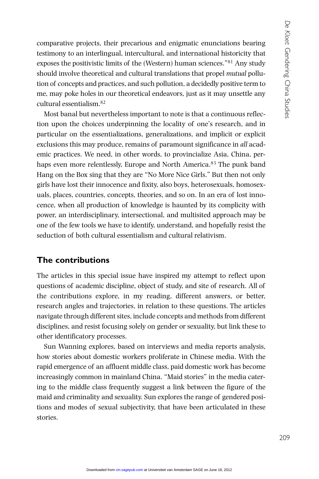comparative projects, their precarious and enigmatic enunciations bearing testimony to an interlingual, intercultural, and international historicity that exposes the positivistic limits of the (Western) human sciences."81 Any study should involve theoretical and cultural translations that propel *mutual* pollution of concepts and practices, and such pollution, a decidedly positive term to me, may poke holes in our theoretical endeavors, just as it may unsettle any cultural essentialism.82

Most banal but nevertheless important to note is that a continuous reflection upon the choices underpinning the locality of one's research, and in particular on the essentializations, generalizations, and implicit or explicit exclusions this may produce, remains of paramount significance in *all* academic practices. We need, in other words, to provincialize Asia, China, perhaps even more relentlessly, Europe and North America.<sup>83</sup> The punk band Hang on the Box sing that they are "No More Nice Girls." But then not only girls have lost their innocence and fixity, also boys, heterosexuals, homosexuals, places, countries, concepts, theories, and so on. In an era of lost innocence, when all production of knowledge is haunted by its complicity with power, an interdisciplinary, intersectional, and multisited approach may be one of the few tools we have to identify, understand, and hopefully resist the seduction of both cultural essentialism and cultural relativism.

#### **The contributions**

The articles in this special issue have inspired my attempt to reflect upon questions of academic discipline, object of study, and site of research. All of the contributions explore, in my reading, different answers, or better, research angles and trajectories, in relation to these questions. The articles navigate through different sites, include concepts and methods from different disciplines, and resist focusing solely on gender or sexuality, but link these to other identificatory processes.

Sun Wanning explores, based on interviews and media reports analysis, how stories about domestic workers proliferate in Chinese media. With the rapid emergence of an affluent middle class, paid domestic work has become increasingly common in mainland China. "Maid stories" in the media catering to the middle class frequently suggest a link between the figure of the maid and criminality and sexuality. Sun explores the range of gendered positions and modes of sexual subjectivity, that have been articulated in these stories.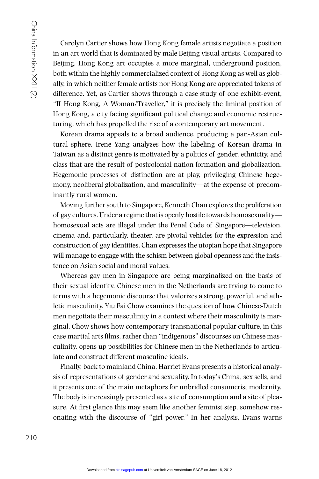Carolyn Cartier shows how Hong Kong female artists negotiate a position in an art world that is dominated by male Beijing visual artists. Compared to Beijing, Hong Kong art occupies a more marginal, underground position, both within the highly commercialized context of Hong Kong as well as globally, in which neither female artists nor Hong Kong are appreciated tokens of difference. Yet, as Cartier shows through a case study of one exhibit-event, "If Hong Kong, A Woman/Traveller," it is precisely the liminal position of Hong Kong, a city facing significant political change and economic restructuring, which has propelled the rise of a contemporary art movement.

Korean drama appeals to a broad audience, producing a pan-Asian cultural sphere. Irene Yang analyzes how the labeling of Korean drama in Taiwan as a distinct genre is motivated by a politics of gender, ethnicity, and class that are the result of postcolonial nation formation and globalization. Hegemonic processes of distinction are at play, privileging Chinese hegemony, neoliberal globalization, and masculinity—at the expense of predominantly rural women.

Moving further south to Singapore, Kenneth Chan explores the proliferation of gay cultures. Under a regime that is openly hostile towards homosexuality homosexual acts are illegal under the Penal Code of Singapore—television, cinema and, particularly, theater, are pivotal vehicles for the expression and construction of gay identities. Chan expresses the utopian hope that Singapore will manage to engage with the schism between global openness and the insistence on Asian social and moral values.

Whereas gay men in Singapore are being marginalized on the basis of their sexual identity, Chinese men in the Netherlands are trying to come to terms with a hegemonic discourse that valorizes a strong, powerful, and athletic masculinity. Yiu Fai Chow examines the question of how Chinese-Dutch men negotiate their masculinity in a context where their masculinity is marginal. Chow shows how contemporary transnational popular culture, in this case martial arts films, rather than "indigenous" discourses on Chinese masculinity, opens up possibilities for Chinese men in the Netherlands to articulate and construct different masculine ideals.

Finally, back to mainland China, Harriet Evans presents a historical analysis of representations of gender and sexuality. In today's China, sex sells, and it presents one of the main metaphors for unbridled consumerist modernity. The body is increasingly presented as a site of consumption and a site of pleasure. At first glance this may seem like another feminist step, somehow resonating with the discourse of "girl power." In her analysis, Evans warns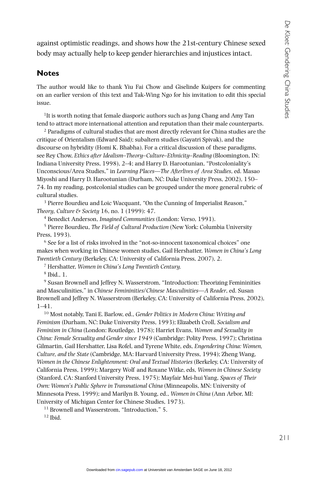against optimistic readings, and shows how the 21st-century Chinese sexed body may actually help to keep gender hierarchies and injustices intact.

#### **Notes**

The author would like to thank Yiu Fai Chow and Giselinde Kuipers for commenting on an earlier version of this text and Tak-Wing Ngo for his invitation to edit this special issue.

<sup>1</sup>It is worth noting that female diasporic authors such as Jung Chang and Amy Tan tend to attract more international attention and reputation than their male counterparts. 2 Paradigms of cultural studies that are most directly relevant for China studies are the

critique of Orientalism (Edward Said); subaltern studies (Gayatri Spivak), and the discourse on hybridity (Homi K. Bhabha). For a critical discussion of these paradigms, see Rey Chow, *Ethics after Idealism–Theory–Culture–Ethnicity–Reading* (Bloomington, IN: Indiana University Press, 1998), 2–4; and Harry D. Harootunian, "Postcoloniality's Unconscious/Area Studies," in *Learning Places—The Afterlives of Area Studies*, ed. Masao Miyoshi and Harry D. Harootunian (Durham, NC: Duke University Press, 2002), 150– 74. In my reading, postcolonial studies can be grouped under the more general rubric of cultural studies.<br> $3$  Pierre Bourdieu and Loic Wacquant, "On the Cunning of Imperialist Reason,"

*Theory, Culture & Society* 16, no. 1 (1999): 47.

<sup>4</sup> Benedict Anderson, *Imagined Communities* (London: Verso, 1991).

<sup>5</sup> Pierre Bourdieu, *The Field of Cultural Production* (New York: Columbia University Press, 1993).

<sup>6</sup> See for a list of risks involved in the "not-so-innocent taxonomical choices" one makes when working in Chinese women studies, Gail Hershatter, *Women in China's Long Twentieth Century* (Berkeley, CA: University of California Press, 2007), 2.

<sup>7</sup> Hershatter, *Women in China's Long Twentieth Century.*

<sup>8</sup> Ibid., 1.

<sup>9</sup> Susan Brownell and Jeffrey N. Wasserstrom, "Introduction: Theorizing Femininities and Masculinities," in *Chinese Femininities/Chinese Masculinities—A Reader*, ed. Susan Brownell and Jeffrey N. Wasserstrom (Berkeley, CA: University of California Press, 2002), 1–41.

<sup>10</sup> Most notably, Tani E. Barlow, ed., *Gender Politics in Modern China: Writing and Feminism* (Durham, NC: Duke University Press, 1993); Elizabeth Croll, *Socialism and Feminism in China* (London: Routledge, 1978); Harriet Evans, *Women and Sexuality in China: Female Sexuality and Gender since 1949* (Cambridge: Polity Press, 1997); Christina Gilmartin, Gail Hershatter, Lisa Rofel, and Tyrene White, eds, *Engendering China: Women, Culture, and the State* (Cambridge, MA: Harvard University Press, 1994); Zheng Wang, *Women in the Chinese Enlightenment: Oral and Textual Histories* (Berkeley, CA: University of California Press, 1999); Margery Wolf and Roxane Witke, eds, *Women in Chinese Society* (Stanford, CA: Stanford University Press, 1975); Mayfair Mei-hui Yang, *Spaces of Their Own: Women's Public Sphere in Transnational China* (Minneapolis, MN: University of Minnesota Press, 1999); and Marilyn B. Young, ed., *Women in China* (Ann Arbor, MI: University of Michigan Center for Chinese Studies, 1973).

<sup>11</sup> Brownell and Wasserstrom, "Introduction," 5.

 $12$  Ibid.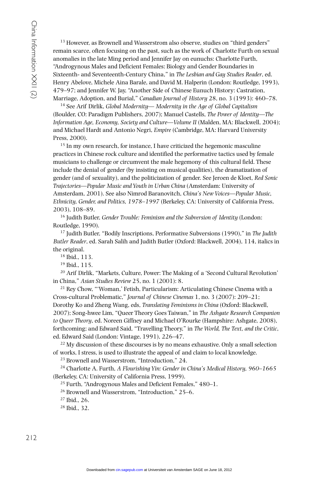<sup>13</sup> However, as Brownell and Wasserstrom also observe, studies on "third genders" remain scarce, often focusing on the past, such as the work of Charlotte Furth on sexual anomalies in the late Ming period and Jennifer Jay on eunuchs: Charlotte Furth, "Androgynous Males and Deficient Females: Biology and Gender Boundaries in Sixteenth- and Seventeenth-Century China," in *The Lesbian and Gay Studies Reader*, ed. Henry Abelove, Michele Aina Barale, and David M. Halperin (London: Routledge, 1993), 479–97; and Jennifer W. Jay, "Another Side of Chinese Eunuch History: Castration, Marriage, Adoption, and Burial," *Canadian Journal of History* 28, no. 3 (1993): 460–78.

<sup>14</sup> See Arif Dirlik, *Global Modernity— Modernity in the Age of Global Capitalism* (Boulder, CO: Paradigm Publishers, 2007); Manuel Castells, *The Power of Identity—The Information Age, Economy, Society and Culture—Volume II* (Malden, MA: Blackwell, 2004); and Michael Hardt and Antonio Negri, *Empire* (Cambridge, MA: Harvard University Press, 2000).

<sup>15</sup> In my own research, for instance, I have criticized the hegemonic masculine practices in Chinese rock culture and identified the performative tactics used by female musicians to challenge or circumvent the male hegemony of this cultural field. These include the denial of gender (by insisting on musical qualities), the dramatization of gender (and of sexuality), and the politicization of gender. See Jeroen de Kloet, *Red Sonic Trajectories—Popular Music and Youth in Urban China* (Amsterdam: University of Amsterdam, 2001). See also Nimrod Baranovitch, *China's New Voices—Popular Music, Ethnicity, Gender, and Politics, 1978–1997* (Berkeley, CA: University of California Press, 2003), 108–89.

<sup>16</sup> Judith Butler, *Gender Trouble: Feminism and the Subversion of Identity* (London: Routledge, 1990).

<sup>17</sup> Judith Butler, "Bodily Inscriptions, Performative Subversions (1990)," in *The Judith Butler Reader*, ed. Sarah Salih and Judith Butler (Oxford: Blackwell, 2004), 114, italics in the original.

<sup>18</sup> Ibid., 113.

<sup>19</sup> Ibid., 115.

<sup>20</sup> Arif Dirlik, "Markets, Culture, Power: The Making of a 'Second Cultural Revolution' in China," *Asian Studies Review* 25, no. 1 (2001): 8.

 $21$  Rey Chow, "'Woman,' Fetish, Particularism: Articulating Chinese Cinema with a Cross-cultural Problematic," *Journal of Chinese Cinemas* 1, no. 3 (2007): 209–21; Dorothy Ko and Zheng Wang, eds, *Translating Feminisms in China* (Oxford: Blackwell, 2007); Song-hwee Lim, "Queer Theory Goes Taiwan," in *The Ashgate Research Companion to Queer Theory*, ed. Noreen Giffney and Michael O'Rourke (Hampshire: Ashgate, 2008), forthcoming; and Edward Said, "Travelling Theory," in *The World, The Text, and the Critic*, ed. Edward Said (London: Vintage, 1991), 226–47.

 $^{22}$  My discussion of these discourses is by no means exhaustive. Only a small selection of works, I stress, is used to illustrate the appeal of and claim to local knowledge.

<sup>23</sup> Brownell and Wasserstrom, "Introduction," 24.

<sup>24</sup> Charlotte A. Furth, *A Flourishing Yin: Gender in China's Medical History, 960–1665* (Berkeley, CA: University of California Press, 1999).

<sup>25</sup> Furth, "Androgynous Males and Deficient Females," 480–1.

<sup>26</sup> Brownell and Wasserstrom, "Introduction," 25–6.

<sup>27</sup> Ibid., 26.

<sup>28</sup> Ibid., 32.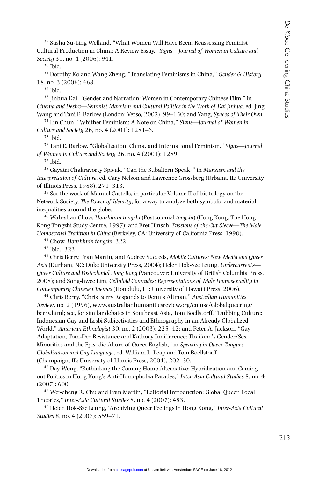<sup>29</sup> Sasha Su-Ling Welland, "What Women Will Have Been: Reassessing Feminist Cultural Production in China: A Review Essay," *Signs—Journal of Women in Culture and Society* 31, no. 4 (2006): 941.

<sup>30</sup> Ibid.

<sup>31</sup> Dorothy Ko and Wang Zheng, "Translating Feminisms in China," *Gender & History* 18, no. 3 (2006): 468.

<sup>32</sup> Ibid.

<sup>33</sup> Jinhua Dai, "Gender and Narration: Women in Contemporary Chinese Film," in *Cinema and Desire—Feminist Marxism and Cultural Politics in the Work of Dai Jinhua*, ed. Jing Wang and Tani E. Barlow (London: Verso, 2002), 99–150; and Yang, *Spaces of Their Own.*

<sup>34</sup> Lin Chun, "Whither Feminism: A Note on China," *Signs—Journal of Women in Culture and Society* 26, no. 4 (2001): 1281–6.

<sup>35</sup> Ibid.

<sup>36</sup> Tani E. Barlow, "Globalization, China, and International Feminism," *Signs—Journal of Women in Culture and Society* 26, no. 4 (2001): 1289.

<sup>37</sup> Ibid.<br><sup>38</sup> Gayatri Chakravorty Spivak, "Can the Subaltern Speak?" in *Marxism and the Interpretation of Culture*, ed. Cary Nelson and Lawrence Grossberg (Urbana, IL: University of Illinois Press, 1988), 271–313.<br><sup>39</sup> See the work of Manuel Castells, in particular Volume II of his trilogy on the

Network Society, *The Power of Identity*, for a way to analyze both symbolic and material inequalities around the globe.

<sup>40</sup> Wah-shan Chow, *Houzhimin tongzhi* (Postcolonial *tongzhi*) (Hong Kong: The Hong Kong Tongzhi Study Centre, 1997); and Bret Hinsch, *Passions of the Cut Sleeve—The Male Homosexual Tradition in China* (Berkeley, CA: University of California Press, 1990).

<sup>41</sup> Chow, *Houzhimin tongzhi*, 322.

<sup>42</sup> Ibid., 323.

<sup>43</sup> Chris Berry, Fran Martin, and Audrey Yue, eds, *Mobile Cultures: New Media and Queer Asia* (Durham, NC: Duke University Press, 2004); Helen Hok-Sze Leung, *Undercurrents— Queer Culture and Postcolonial Hong Kong* (Vancouver: University of British Columbia Press, 2008); and Song-hwee Lim, *Celluloid Comrades: Representations of Male Homosexuality in Contemporary Chinese Cinemas* (Honolulu, HI: University of Hawai'i Press, 2006).

<sup>44</sup> Chris Berry, "Chris Berry Responds to Dennis Altman," *Australian Humanities Review*, no. 2 (1996), www.australianhumanitiesreview.org/emuse/Globalqueering/ berry.html; see, for similar debates in Southeast Asia, Tom Boellstorff, "Dubbing Culture: Indonesian Gay and Lesbi Subjectivities and Ethnography in an Already Globalized World," *American Ethnologist* 30, no. 2 (2003): 225–42; and Peter A. Jackson, "Gay Adaptation, Tom-Dee Resistance and Kathoey Indifference: Thailand's Gender/Sex Minorities and the Episodic Allure of Queer English," in *Speaking in Queer Tongues— Globalization and Gay Language*, ed. William L. Leap and Tom Boellstorff (Champaign, IL: University of Illinois Press, 2004), 202–30.

<sup>45</sup> Day Wong, "Rethinking the Coming Home Alternative: Hybridization and Coming out Politics in Hong Kong's Anti-Homophobia Parades," *Inter-Asia Cultural Studies* 8, no. 4 (2007): 600.

<sup>46</sup> Wei-cheng R. Chu and Fran Martin, "Editorial Introduction: Global Queer, Local Theories," *Inter-Asia Cultural Studies* 8, no. 4 (2007): 483.

<sup>47</sup> Helen Hok-Sze Leung, "Archiving Queer Feelings in Hong Kong," *Inter-Asia Cultural Studies* 8, no. 4 (2007): 559–71.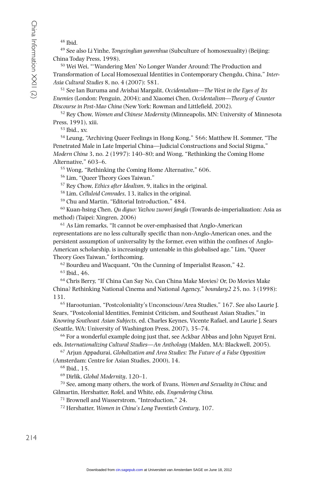<sup>48</sup> Ibid.

<sup>49</sup> See also Li Yinhe, *Tongxinglian yawenhua* (Subculture of homosexuality) (Beijing: China Today Press, 1998).

<sup>50</sup> Wei Wei, "'Wandering Men' No Longer Wander Around: The Production and Transformation of Local Homosexual Identities in Contemporary Chengdu, China," *Inter-Asia Cultural Studies* 8, no. 4 (2007): 581.

<sup>51</sup> See Ian Buruma and Avishai Margalit, *Occidentalism—The West in the Eyes of Its Enemies* (London: Penguin, 2004); and Xiaomei Chen, *Occidentalism—Theory of Counter Discourse in Post-Mao China* (New York: Rowman and Littlefield, 2002).

<sup>52</sup> Rey Chow, *Women and Chinese Modernity* (Minneapolis, MN: University of Minnesota Press, 1991), xiii.

<sup>53</sup> Ibid., xv.

<sup>54</sup> Leung, "Archiving Queer Feelings in Hong Kong," 566; Matthew H. Sommer, "The Penetrated Male in Late Imperial China—Judicial Constructions and Social Stigma," *Modern China* 3, no. 2 (1997): 140–80; and Wong, "Rethinking the Coming Home Alternative," 603–6.<br><sup>55</sup> Wong, "Rethinking the Coming Home Alternative," 606.

<sup>56</sup> Lim, "Queer Theory Goes Taiwan." 57 Rey Chow, *Ethics after Idealism*, 9, italics in the original.

<sup>58</sup> Lim, *Celluloid Comrades*, 13, italics in the original.

<sup>59</sup> Chu and Martin, "Editorial Introduction," 484.

<sup>60</sup> Kuan-hsing Chen, *Qu diguo: Yazhou zuowei fangfa* (Towards de-imperialization: Asia as method) (Taipei: Xingren, 2006)

 $61$  As Lim remarks, "It cannot be over-emphasised that Anglo-American representations are no less culturally specific than non-Anglo-American ones, and the persistent assumption of universality by the former, even within the confines of Anglo-American scholarship, is increasingly untenable in this globalised age." Lim, "Queer Theory Goes Taiwan," forthcoming.

 $62$  Bourdieu and Wacquant, "On the Cunning of Imperialist Reason,"  $42$ . <sup>63</sup> Ibid., 46.

<sup>64</sup> Chris Berry, "If China Can Say No, Can China Make Movies? Or, Do Movies Make China? Rethinking National Cinema and National Agency," *boundary2* 25, no. 3 (1998): 131.

<sup>65</sup> Harootunian, "Postcoloniality's Unconscious/Area Studies," 167. See also Laurie J. Sears, "Postcolonial Identities, Feminist Criticism, and Southeast Asian Studies," in *Knowing Southeast Asian Subjects*, ed. Charles Keynes, Vicente Rafael, and Laurie J. Sears (Seattle, WA: University of Washington Press, 2007), 35–74.

<sup>66</sup> For a wonderful example doing just that, see Ackbar Abbas and John Nguyet Erni, eds, *Internationalizing Cultural Studies—An Anthology* (Malden, MA: Blackwell, 2005).

<sup>67</sup> Arjun Appadurai, *Globalization and Area Studies: The Future of a False Opposition* (Amsterdam: Centre for Asian Studies, 2000), 14.

<sup>68</sup> Ibid., 15.

<sup>69</sup> Dirlik, *Global Modernity*, 120–1.

<sup>70</sup> See, among many others, the work of Evans, *Women and Sexuality in China*; and Gilmartin, Hershatter, Rofel, and White, eds, *Engendering China.*

<sup>71</sup> Brownell and Wasserstrom, "Introduction," 24.

<sup>72</sup> Hershatter, *Women in China's Long Twentieth Century*, 107.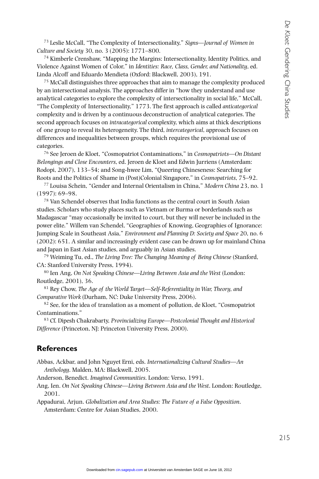<sup>73</sup> Leslie McCall, "The Complexity of Intersectionality," *Signs—Journal of Women in Culture and Society* 30, no. 3 (2005): 1771–800.

<sup>74</sup> Kimberle Crenshaw, "Mapping the Margins: Intersectionality, Identity Politics, and Violence Against Women of Color," in *Identities: Race, Class, Gender, and Nationality*, ed. Linda Alcoff and Eduardo Mendieta (Oxford: Blackwell, 2003), 191.

<sup>75</sup> McCall distinguishes three approaches that aim to manage the complexity produced by an intersectional analysis. The approaches differ in "how they understand and use analytical categories to explore the complexity of intersectionality in social life," McCall, "The Complexity of Intersectionality," 1773. The first approach is called *anticategorical* complexity and is driven by a continuous deconstruction of analytical categories. The second approach focuses on *intracategorical* complexity, which aims at thick descriptions of one group to reveal its heterogeneity. The third, *intercategorical*, approach focuses on differences and inequalities between groups, which requires the provisional use of categories.

<sup>76</sup> See Jeroen de Kloet, "Cosmopatriot Contaminations," in *Cosmopatriots—On Distant Belongings and Close Encounters*, ed. Jeroen de Kloet and Edwin Jurriens (Amsterdam: Rodopi, 2007), 133–54; and Song-hwee Lim, "Queering Chineseness: Searching for Roots and the Politics of Shame in (Post)Colonial Singapore," in *Cosmopatriots*, 75–92.

<sup>77</sup> Louisa Schein, "Gender and Internal Orientalism in China," *Modern China* 23, no. 1 (1997): 69–98.

<sup>78</sup> Van Schendel observes that India functions as the central court in South Asian studies. Scholars who study places such as Vietnam or Burma or borderlands such as Madagascar "may occasionally be invited to court, but they will never be included in the power elite." Willem van Schendel, "Geographies of Knowing, Geographies of Ignorance: Jumping Scale in Southeast Asia," *Environment and Planning D: Society and Space* 20, no. 6 (2002): 651. A similar and increasingly evident case can be drawn up for mainland China and Japan in East Asian studies, and arguably in Asian studies.

<sup>79</sup> Weiming Tu, ed., *The Living Tree: The Changing Meaning of Being Chinese* (Stanford, CA: Stanford University Press, 1994).

<sup>80</sup> Ien Ang, *On Not Speaking Chinese—Living Between Asia and the West* (London: Routledge, 2001), 36.

<sup>81</sup> Rey Chow, *The Age of the World Target—Self-Referentiality in War, Theory, and Comparative Work* (Durham, NC: Duke University Press, 2006).

<sup>82</sup> See, for the idea of translation as a moment of pollution, de Kloet, "Cosmopatriot Contaminations."

<sup>83</sup> Cf. Dipesh Chakrabarty, *Provincializing Europe—Postcolonial Thought and Historical Difference* (Princeton, NJ: Princeton University Press, 2000).

#### **References**

Abbas, Ackbar, and John Nguyet Erni, eds. *Internationalizing Cultural Studies—An Anthology*. Malden, MA: Blackwell, 2005.

Anderson, Benedict. *Imagined Communities*. London: Verso, 1991.

Ang, Ien. *On Not Speaking Chinese—Living Between Asia and the West*. London: Routledge, 2001.

Appadurai, Arjun. *Globalization and Area Studies: The Future of a False Opposition*. Amsterdam: Centre for Asian Studies, 2000.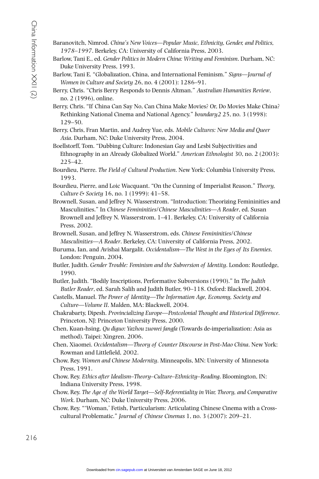- Baranovitch, Nimrod. *China's New Voices—Popular Music, Ethnicity, Gender, and Politics, 1978–1997*. Berkeley, CA: University of California Press, 2003.
- Barlow, Tani E., ed. *Gender Politics in Modern China: Writing and Feminism*. Durham, NC: Duke University Press, 1993.
- Barlow, Tani E. "Globalization, China, and International Feminism." *Signs—Journal of Women in Culture and Society* 26, no. 4 (2001): 1286–91.
- Berry, Chris. "Chris Berry Responds to Dennis Altman." *Australian Humanities Review*, no. 2 (1996), online.
- Berry, Chris. "If China Can Say No, Can China Make Movies? Or, Do Movies Make China? Rethinking National Cinema and National Agency." *boundary2* 25, no. 3 (1998): 129–50.
- Berry, Chris, Fran Martin, and Audrey Yue, eds. *Mobile Cultures: New Media and Queer Asia*. Durham, NC: Duke University Press, 2004.
- Boellstorff, Tom. "Dubbing Culture: Indonesian Gay and Lesbi Subjectivities and Ethnography in an Already Globalized World." *American Ethnologist* 30, no. 2 (2003): 225–42.
- Bourdieu, Pierre. *The Field of Cultural Production*. New York: Columbia University Press, 1993.
- Bourdieu, Pierre, and Loic Wacquant. "On the Cunning of Imperialist Reason." *Theory, Culture & Society* 16, no. 1 (1999): 41–58.
- Brownell, Susan, and Jeffrey N. Wasserstrom. "Introduction: Theorizing Femininities and Masculinities." In *Chinese Femininities/Chinese Masculinities—A Reader*, ed. Susan Brownell and Jeffrey N. Wasserstrom, 1–41. Berkeley, CA: University of California Press, 2002.
- Brownell, Susan, and Jeffrey N. Wasserstrom, eds. *Chinese Femininities/Chinese Masculinities—A Reader*. Berkeley, CA: University of California Press, 2002.
- Buruma, Ian, and Avishai Margalit. *Occidentalism—The West in the Eyes of Its Enemies*. London: Penguin, 2004.
- Butler, Judith. *Gender Trouble: Feminism and the Subversion of Identity*. London: Routledge, 1990.
- Butler, Judith. "Bodily Inscriptions, Performative Subversions (1990)." In *The Judith Butler Reader*, ed. Sarah Salih and Judith Butler, 90–118. Oxford: Blackwell, 2004.
- Castells, Manuel. *The Power of Identity—The Information Age, Economy, Society and Culture—Volume II*. Malden, MA: Blackwell, 2004.
- Chakrabarty, Dipesh. *Provincializing Europe—Postcolonial Thought and Historical Difference*. Princeton, NJ: Princeton University Press, 2000.
- Chen, Kuan-hsing. *Qu diguo: Yazhou zuowei fangfa* (Towards de-imperialization: Asia as method). Taipei: Xingren, 2006.
- Chen, Xiaomei. *Occidentalism—Theory of Counter Discourse in Post-Mao China*. New York: Rowman and Littlefield, 2002.
- Chow, Rey. *Women and Chinese Modernity*. Minneapolis, MN: University of Minnesota Press, 1991.
- Chow, Rey. *Ethics after Idealism–Theory–Culture–Ethnicity–Reading*. Bloomington, IN: Indiana University Press, 1998.
- Chow, Rey. *The Age of the World Target—Self-Referentiality in War, Theory, and Comparative Work*. Durham, NC: Duke University Press, 2006.
- Chow, Rey. "'Woman,' Fetish, Particularism: Articulating Chinese Cinema with a Crosscultural Problematic." *Journal of Chinese Cinemas* 1, no. 3 (2007): 209–21.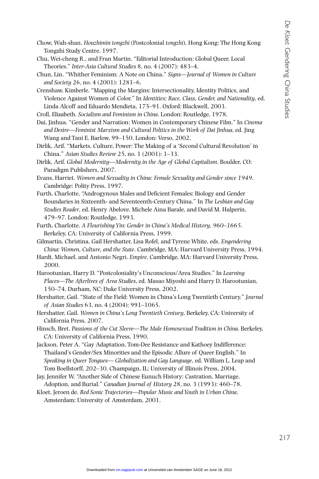- Chow, Wah-shan. *Houzhimin tongzhi* (Postcolonial *tongzhi*). Hong Kong: The Hong Kong Tongzhi Study Centre, 1997.
- Chu, Wei-cheng R., and Fran Martin. "Editorial Introduction: Global Queer, Local Theories." *Inter-Asia Cultural Studies* 8, no. 4 (2007): 483–4.
- Chun, Lin. "Whither Feminism: A Note on China." *Signs—Journal of Women in Culture and Society* 26, no. 4 (2001): 1281–6.
- Crenshaw, Kimberle. "Mapping the Margins: Intersectionality, Identity Politics, and Violence Against Women of Color." In *Identities: Race, Class, Gender, and Nationality*, ed. Linda Alcoff and Eduardo Mendieta, 175–91. Oxford: Blackwell, 2003.

Croll, Elizabeth. *Socialism and Feminism in China*. London: Routledge, 1978.

- Dai, Jinhua. "Gender and Narration: Women in Contemporary Chinese Film." In *Cinema and Desire—Feminist Marxism and Cultural Politics in the Work of Dai Jinhua*, ed. Jing Wang and Tani E. Barlow, 99–150. London: Verso, 2002.
- Dirlik, Arif. "Markets, Culture, Power: The Making of a 'Second Cultural Revolution' in China." *Asian Studies Review* 25, no. 1 (2001): 1–33.
- Dirlik, Arif. *Global Modernity—Modernity in the Age of Global Capitalism*. Boulder, CO: Paradigm Publishers, 2007.
- Evans, Harriet. *Women and Sexuality in China: Female Sexuality and Gender since 1949*. Cambridge: Polity Press, 1997.
- Furth, Charlotte. "Androgynous Males and Deficient Females: Biology and Gender Boundaries in Sixteenth- and Seventeenth-Century China." In *The Lesbian and Gay Studies Reader*, ed. Henry Abelove, Michele Aina Barale, and David M. Halperin, 479–97. London: Routledge, 1993.
- Furth, Charlotte. *A Flourishing Yin: Gender in China's Medical History, 960–1665*. Berkeley, CA: University of California Press, 1999.
- Gilmartin, Christina, Gail Hershatter, Lisa Rofel, and Tyrene White, eds. *Engendering China: Women, Culture, and the State*. Cambridge, MA: Harvard University Press, 1994.
- Hardt, Michael, and Antonio Negri. *Empire*. Cambridge, MA: Harvard University Press, 2000.
- Harootunian, Harry D. "Postcoloniality's Unconscious/Area Studies." In *Learning Places—The Afterlives of Area Studies*, ed. Masao Miyoshi and Harry D. Harootunian, 150–74. Durham, NC: Duke University Press, 2002.
- Hershatter, Gail. "State of the Field: Women in China's Long Twentieth Century." *Journal of Asian Studies* 63, no. 4 (2004): 991–1065.
- Hershatter, Gail. *Women in China's Long Twentieth Century*. Berkeley, CA: University of California Press, 2007.
- Hinsch, Bret. *Passions of the Cut Sleeve—The Male Homosexual Tradition in China*. Berkeley, CA: University of California Press, 1990.
- Jackson, Peter A. "Gay Adaptation, Tom-Dee Resistance and Kathoey Indifference: Thailand's Gender/Sex Minorities and the Episodic Allure of Queer English." In *Speaking in Queer Tongues— Globalization and Gay Language*, ed. William L. Leap and Tom Boellstorff, 202–30. Champaign, IL: University of Illinois Press, 2004.
- Jay, Jennifer W. "Another Side of Chinese Eunuch History: Castration, Marriage, Adoption, and Burial." *Canadian Journal of History* 28, no. 3 (1993): 460–78.
- Kloet, Jeroen de. *Red Sonic Trajectories—Popular Music and Youth in Urban China*. Amsterdam: University of Amsterdam, 2001.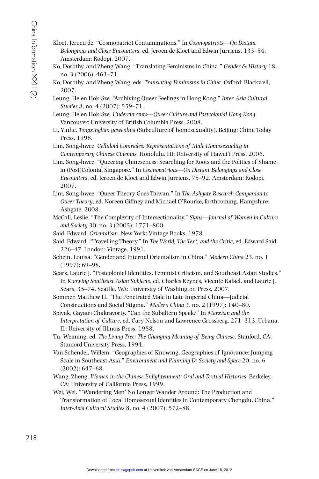- Kloet, Jeroen de. "Cosmopatriot Contaminations." In *Cosmopatriots—On Distant Belongings and Close Encounters*, ed. Jeroen de Kloet and Edwin Jurriens, 133–54. Amsterdam: Rodopi, 2007.
- Ko, Dorothy, and Zheng Wang. "Translating Feminisms in China." *Gender & History* 18, no. 3 (2006): 463–71.
- Ko, Dorothy, and Zheng Wang, eds. *Translating Feminisms in China*. Oxford: Blackwell, 2007.
- Leung, Helen Hok-Sze. "Archiving Queer Feelings in Hong Kong." *Inter-Asia Cultural Studies* 8, no. 4 (2007): 559–71.
- Leung, Helen Hok-Sze. *Undercurrents—Queer Culture and Postcolonial Hong Kong*. Vancouver: University of British Columbia Press, 2008.
- Li, Yinhe. *Tongxinglian yawenhua* (Subculture of homosexuality). Beijing: China Today Press, 1998.

Lim, Song-hwee. *Celluloid Comrades: Representations of Male Homosexuality in Contemporary Chinese Cinemas.* Honolulu, HI: University of Hawai'i Press, 2006.

- Lim, Song-hwee. "Queering Chineseness: Searching for Roots and the Politics of Shame in (Post)Colonial Singapore." In *Cosmopatriots—On Distant Belongings and Close Encounters*, ed. Jeroen de Kloet and Edwin Jurriens, 75–92. Amsterdam: Rodopi, 2007.
- Lim, Song-hwee. "Queer Theory Goes Taiwan." In *The Ashgate Research Companion to Queer Theory*, ed. Noreen Giffney and Michael O'Rourke, forthcoming. Hampshire: Ashgate, 2008.
- McCall, Leslie. "The Complexity of Intersectionality." *Signs—Journal of Women in Culture and Society* 30, no. 3 (2005): 1771–800.
- Said, Edward. *Orientalism*. New York: Vintage Books, 1978.
- Said, Edward. "Travelling Theory." In *The World, The Text, and the Critic*, ed. Edward Said, 226–47. London: Vintage, 1991.
- Schein, Louisa. "Gender and Internal Orientalism in China." *Modern China* 23, no. 1 (1997): 69–98.
- Sears, Laurie J. "Postcolonial Identities, Feminist Criticism, and Southeast Asian Studies." In *Knowing Southeast Asian Subjects*, ed. Charles Keynes, Vicente Rafael, and Laurie J. Sears, 35–74. Seattle, WA: University of Washington Press, 2007.
- Sommer, Matthew H. "The Penetrated Male in Late Imperial China—Judicial Constructions and Social Stigma." *Modern China* 3, no. 2 (1997): 140–80.
- Spivak, Gayatri Chakravorty. "Can the Subaltern Speak?" In *Marxism and the Interpretation of Culture*, ed. Cary Nelson and Lawrence Grossberg, 271–313. Urbana, IL: University of Illinois Press, 1988.
- Tu, Weiming, ed. *The Living Tree: The Changing Meaning of Being Chinese*. Stanford, CA: Stanford University Press, 1994.
- Van Schendel, Willem. "Geographies of Knowing, Geographies of Ignorance: Jumping Scale in Southeast Asia." *Environment and Planning D: Society and Space* 20, no. 6 (2002): 647–68.
- Wang, Zheng. *Women in the Chinese Enlightenment: Oral and Textual Histories*. Berkeley, CA: University of California Press, 1999.
- Wei, Wei. "'Wandering Men' No Longer Wander Around: The Production and Transformation of Local Homosexual Identities in Contemporary Chengdu, China." *Inter-Asia Cultural Studies* 8, no. 4 (2007): 572–88.